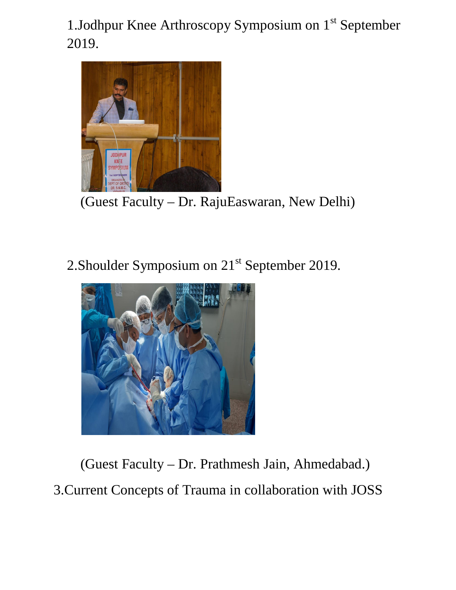1. Jodhpur Knee Arthroscopy Symposium on  $1<sup>st</sup>$  September 2019.



(Guest Faculty – Dr. RajuEaswaran, New Delhi)

2. Shoulder Symposium on 21<sup>st</sup> September 2019.



(Guest Faculty – Dr. Prathmesh Jain, Ahmedabad.) 3.Current Concepts of Trauma in collaboration with JOSS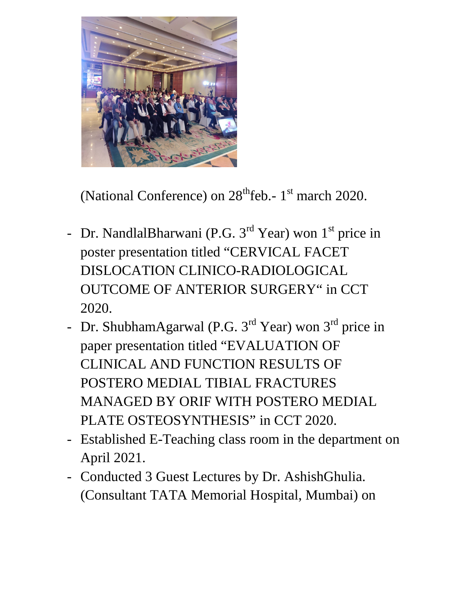

(National Conference) on  $28<sup>th</sup>$ feb.- 1<sup>st</sup> march 2020.

- Dr. NandlalBharwani (P.G. 3<sup>rd</sup> Year) won 1<sup>st</sup> price in poster presentation titled "CERVICAL FACET DISLOCATION CLINICO-RADIOLOGICAL OUTCOME OF ANTERIOR SURGERY" in CCT 2020.
- Dr. ShubhamAgarwal (P.G. 3<sup>rd</sup> Year) won 3<sup>rd</sup> price in paper presentation titled "EVALUATION OF CLINICAL AND FUNCTION RESULTS OF POSTERO MEDIAL TIBIAL FRACTURES MANAGED BY ORIF WITH POSTERO MEDIAL PLATE OSTEOSYNTHESIS" in CCT 2020.
- Established E-Teaching class room in the department on April 2021.
- Conducted 3 Guest Lectures by Dr. AshishGhulia. (Consultant TATA Memorial Hospital, Mumbai) on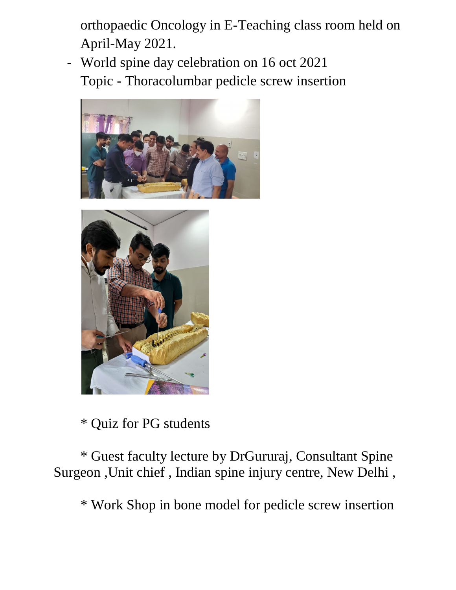orthopaedic Oncology in E-Teaching class room held on April-May 2021.

- World spine day celebration on 16 oct 2021 Topic - Thoracolumbar pedicle screw insertion





\* Quiz for PG students

\* Guest faculty lecture by DrGururaj, Consultant Spine Surgeon ,Unit chief , Indian spine injury centre, New Delhi ,

\* Work Shop in bone model for pedicle screw insertion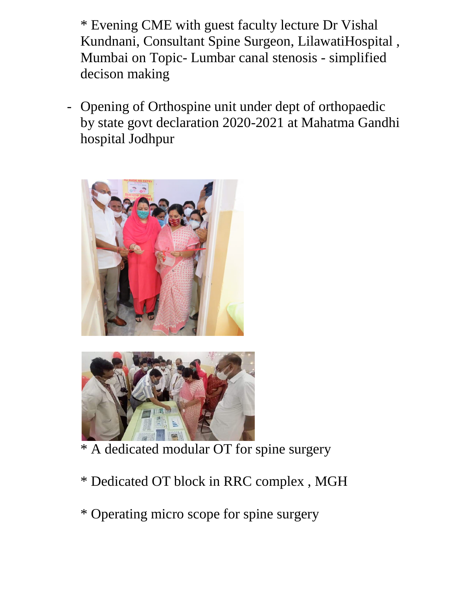\* Evening CME with guest faculty lecture Dr Vishal Kundnani, Consultant Spine Surgeon, LilawatiHospital , Mumbai on Topic- Lumbar canal stenosis - simplified decison making

- Opening of Orthospine unit under dept of orthopaedic by state govt declaration 2020-2021 at Mahatma Gandhi hospital Jodhpur





- \* A dedicated modular OT for spine surgery
- \* Dedicated OT block in RRC complex , MGH
- \* Operating micro scope for spine surgery